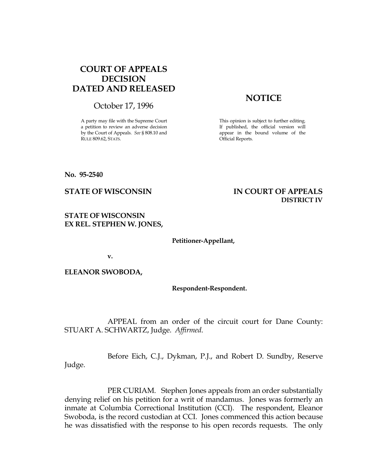## COURT OF APPEALS DECISION DATED AND RELEASED

October 17, 1996

A party may file with the Supreme Court a petition to review an adverse decision by the Court of Appeals. See § 808.10 and RULE 809.62, STATS.

## **NOTICE**

This opinion is subject to further editing. If published, the official version will appear in the bound volume of the Official Reports.

No. 95-2540

## STATE OF WISCONSIN THE RESERVE TO THE STATE OF APPEALS DISTRICT IV

STATE OF WISCONSIN EX REL. STEPHEN W. JONES,

Petitioner-Appellant,

v.

ELEANOR SWOBODA,

Respondent-Respondent.

 APPEAL from an order of the circuit court for Dane County: STUART A. SCHWARTZ, Judge. Affirmed.

 Before Eich, C.J., Dykman, P.J., and Robert D. Sundby, Reserve Judge.

 PER CURIAM. Stephen Jones appeals from an order substantially denying relief on his petition for a writ of mandamus. Jones was formerly an inmate at Columbia Correctional Institution (CCI). The respondent, Eleanor Swoboda, is the record custodian at CCI. Jones commenced this action because he was dissatisfied with the response to his open records requests. The only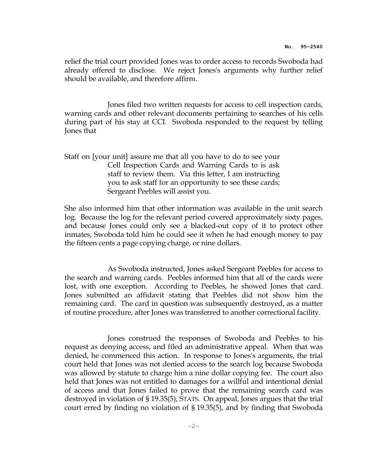relief the trial court provided Jones was to order access to records Swoboda had already offered to disclose. We reject Jones's arguments why further relief should be available, and therefore affirm.

 Jones filed two written requests for access to cell inspection cards, warning cards and other relevant documents pertaining to searches of his cells during part of his stay at CCI. Swoboda responded to the request by telling Jones that

Staff on [your unit] assure me that all you have to do to see your Cell Inspection Cards and Warning Cards to is ask staff to review them. Via this letter, I am instructing you to ask staff for an opportunity to see these cards; Sergeant Peebles will assist you.

She also informed him that other information was available in the unit search log. Because the log for the relevant period covered approximately sixty pages, and because Jones could only see a blacked-out copy of it to protect other inmates, Swoboda told him he could see it when he had enough money to pay the fifteen cents a page copying charge, or nine dollars.

 As Swoboda instructed, Jones asked Sergeant Peebles for access to the search and warning cards. Peebles informed him that all of the cards were lost, with one exception. According to Peebles, he showed Jones that card. Jones submitted an affidavit stating that Peebles did not show him the remaining card. The card in question was subsequently destroyed, as a matter of routine procedure, after Jones was transferred to another correctional facility.

 Jones construed the responses of Swoboda and Peebles to his request as denying access, and filed an administrative appeal. When that was denied, he commenced this action. In response to Jones's arguments, the trial court held that Jones was not denied access to the search log because Swoboda was allowed by statute to charge him a nine dollar copying fee. The court also held that Jones was not entitled to damages for a willful and intentional denial of access and that Jones failed to prove that the remaining search card was destroyed in violation of § 19.35(5), STATS. On appeal, Jones argues that the trial court erred by finding no violation of § 19.35(5), and by finding that Swoboda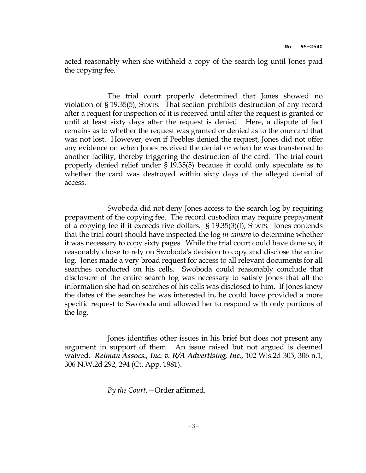acted reasonably when she withheld a copy of the search log until Jones paid the copying fee.

 The trial court properly determined that Jones showed no violation of § 19.35(5), STATS. That section prohibits destruction of any record after a request for inspection of it is received until after the request is granted or until at least sixty days after the request is denied. Here, a dispute of fact remains as to whether the request was granted or denied as to the one card that was not lost. However, even if Peebles denied the request, Jones did not offer any evidence on when Jones received the denial or when he was transferred to another facility, thereby triggering the destruction of the card. The trial court properly denied relief under § 19.35(5) because it could only speculate as to whether the card was destroyed within sixty days of the alleged denial of access.

 Swoboda did not deny Jones access to the search log by requiring prepayment of the copying fee. The record custodian may require prepayment of a copying fee if it exceeds five dollars. § 19.35(3)(f), STATS. Jones contends that the trial court should have inspected the log *in camera* to determine whether it was necessary to copy sixty pages. While the trial court could have done so, it reasonably chose to rely on Swoboda's decision to copy and disclose the entire log. Jones made a very broad request for access to all relevant documents for all searches conducted on his cells. Swoboda could reasonably conclude that disclosure of the entire search log was necessary to satisfy Jones that all the information she had on searches of his cells was disclosed to him. If Jones knew the dates of the searches he was interested in, he could have provided a more specific request to Swoboda and allowed her to respond with only portions of the log.

 Jones identifies other issues in his brief but does not present any argument in support of them. An issue raised but not argued is deemed waived. Reiman Assocs., Inc. v. R/A Advertising, Inc., 102 Wis.2d 305, 306 n.1, 306 N.W.2d 292, 294 (Ct. App. 1981).

By the Court.—Order affirmed.